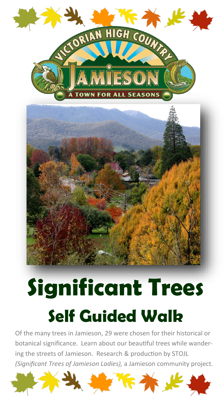

# **Significant Trees Self Guided Walk**

Of the many trees in Jamieson, 29 were chosen for their historical or botanical significance. Learn about our beautiful trees while wandering the streets of Jamieson. Research & production by STOJL *(Significant Trees of Jamieson Ladies),* a Jamieson community project.

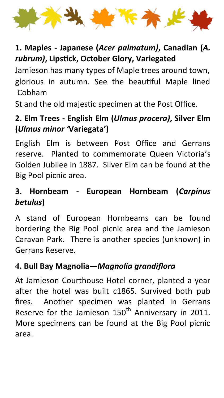

# **1. Maples - Japanese (***Acer palmatum)***, Canadian (***A. rubrum)***, Lipstick, October Glory, Variegated**

Jamieson has many types of Maple trees around town, glorious in autumn. See the beautiful Maple lined Cobham

St and the old majestic specimen at the Post Office.

# **2. Elm Trees - English Elm (***Ulmus procera)***, Silver Elm (***Ulmus minor '***Variegata')**

English Elm is between Post Office and Gerrans reserve. Planted to commemorate Queen Victoria's Golden Jubilee in 1887. Silver Elm can be found at the Big Pool picnic area.

# **3. Hornbeam - European Hornbeam (***Carpinus betulus***)**

A stand of European Hornbeams can be found bordering the Big Pool picnic area and the Jamieson Caravan Park. There is another species (unknown) in Gerrans Reserve.

# **4. Bull Bay Magnolia—***Magnolia grandiflora*

At Jamieson Courthouse Hotel corner, planted a year after the hotel was built c1865. Survived both pub fires. Another specimen was planted in Gerrans Reserve for the Jamieson  $150<sup>th</sup>$  Anniversary in 2011. More specimens can be found at the Big Pool picnic area.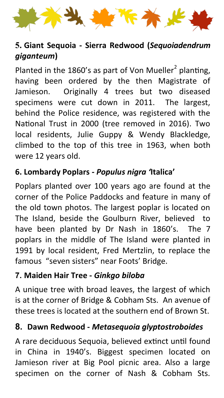

# **5. Giant Sequoia - Sierra Redwood (***Sequoiadendrum giganteum***)**

Planted in the 1860's as part of Von Mueller<sup>2</sup> planting, having been ordered by the then Magistrate of Jamieson. Originally 4 trees but two diseased specimens were cut down in 2011. The largest, behind the Police residence, was registered with the National Trust in 2000 (tree removed in 2016). Two local residents, Julie Guppy & Wendy Blackledge, climbed to the top of this tree in 1963, when both were 12 years old.

#### **6. Lombardy Poplars -** *Populus nigra '***Italica'**

Poplars planted over 100 years ago are found at the corner of the Police Paddocks and feature in many of the old town photos. The largest poplar is located on The Island, beside the Goulburn River, believed to have been planted by Dr Nash in 1860's. The 7 poplars in the middle of The Island were planted in 1991 by local resident, Fred Mertzlin, to replace the famous "seven sisters" near Foots' Bridge.

#### **7. Maiden Hair Tree -** *Ginkgo biloba*

A unique tree with broad leaves, the largest of which is at the corner of Bridge & Cobham Sts. An avenue of these trees is located at the southern end of Brown St.

#### **8. Dawn Redwood -** *Metasequoia glyptostroboides*

A rare deciduous Sequoia, believed extinct until found in China in 1940's. Biggest specimen located on Jamieson river at Big Pool picnic area. Also a large specimen on the corner of Nash & Cobham Sts.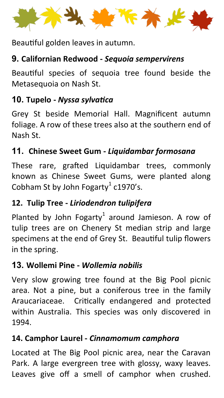Beautiful golden leaves in autumn.

# **9. Californian Redwood -** *Sequoia sempervirens*

Beautiful species of sequoia tree found beside the Metasequoia on Nash St.

# **10. Tupelo -** *Nyssa sylvatica*

Grey St beside Memorial Hall. Magnificent autumn foliage. A row of these trees also at the southern end of Nash St.

# **11. Chinese Sweet Gum -** *Liquidambar formosana*

These rare, grafted Liquidambar trees, commonly known as Chinese Sweet Gums, were planted along Cobham St by John Fogarty $^1$  c1970's.

# **12. Tulip Tree -** *Liriodendron tulipifera*

Planted by John Fogarty $^1$  around Jamieson. A row of tulip trees are on Chenery St median strip and large specimens at the end of Grey St. Beautiful tulip flowers in the spring.

#### **13. Wollemi Pine -** *Wollemia nobilis*

Very slow growing tree found at the Big Pool picnic area. Not a pine, but a coniferous tree in the family Araucariaceae. Critically endangered and protected within Australia. This species was only discovered in 1994.

#### **14. Camphor Laurel -** *Cinnamomum camphora*

Located at The Big Pool picnic area, near the Caravan Park. A large evergreen tree with glossy, waxy leaves. Leaves give off a smell of camphor when crushed.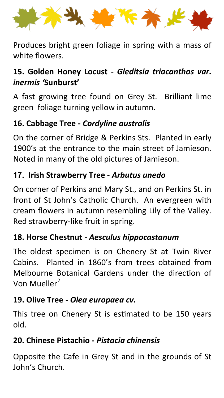

Produces bright green foliage in spring with a mass of white flowers.

# **15. Golden Honey Locust -** *Gleditsia triacanthos var. inermis '***Sunburst'**

A fast growing tree found on Grey St. Brilliant lime green foliage turning yellow in autumn.

# **16. Cabbage Tree -** *Cordyline australis*

On the corner of Bridge & Perkins Sts. Planted in early 1900's at the entrance to the main street of Jamieson. Noted in many of the old pictures of Jamieson.

#### **17. Irish Strawberry Tree -** *Arbutus unedo*

On corner of Perkins and Mary St., and on Perkins St. in front of St John's Catholic Church. An evergreen with cream flowers in autumn resembling Lily of the Valley. Red strawberry-like fruit in spring.

#### **18. Horse Chestnut -** *Aesculus hippocastanum*

The oldest specimen is on Chenery St at Twin River Cabins. Planted in 1860's from trees obtained from Melbourne Botanical Gardens under the direction of Von Mueller<sup>2</sup>

#### **19. Olive Tree -** *Olea europaea cv.*

This tree on Chenery St is estimated to be 150 years old.

# **20. Chinese Pistachio -** *Pistacia chinensis*

Opposite the Cafe in Grey St and in the grounds of St John's Church.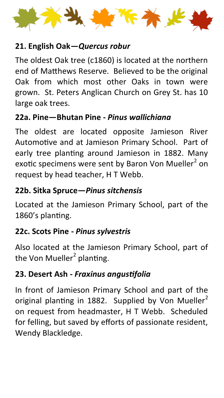

#### **21. English Oak—***Quercus robur*

The oldest Oak tree (c1860) is located at the northern end of Matthews Reserve. Believed to be the original Oak from which most other Oaks in town were grown. St. Peters Anglican Church on Grey St. has 10 large oak trees.

#### **22a. Pine—Bhutan Pine -** *Pinus wallichiana*

The oldest are located opposite Jamieson River Automotive and at Jamieson Primary School. Part of early tree planting around Jamieson in 1882. Many exotic specimens were sent by Baron Von Mueller<sup>2</sup> on request by head teacher, H T Webb.

# **22b. Sitka Spruce—***Pinus sitchensis*

Located at the Jamieson Primary School, part of the 1860's planting.

# **22c. Scots Pine -** *Pinus sylvestris*

Also located at the Jamieson Primary School, part of the Von Mueller<sup>2</sup> planting.

# **23. Desert Ash -** *Fraxinus angustifolia*

In front of Jamieson Primary School and part of the original planting in 1882. Supplied by Von Mueller<sup>2</sup> on request from headmaster, H T Webb. Scheduled for felling, but saved by efforts of passionate resident, Wendy Blackledge.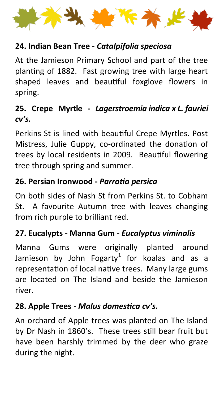

#### **24. Indian Bean Tree -** *Catalpifolia speciosa*

At the Jamieson Primary School and part of the tree planting of 1882. Fast growing tree with large heart shaped leaves and beautiful foxglove flowers in spring.

# **25. Crepe Myrtle -** *Lagerstroemia indica x L. fauriei cv's.*

Perkins St is lined with beautiful Crepe Myrtles. Post Mistress, Julie Guppy, co-ordinated the donation of trees by local residents in 2009. Beautiful flowering tree through spring and summer.

#### **26. Persian Ironwood -** *Parrotia persica*

On both sides of Nash St from Perkins St. to Cobham St. A favourite Autumn tree with leaves changing from rich purple to brilliant red.

#### **27. Eucalypts - Manna Gum -** *Eucalyptus viminalis*

Manna Gums were originally planted around Jamieson by John Fogarty $^1$  for koalas and as a representation of local native trees. Many large gums are located on The Island and beside the Jamieson river.

#### **28. Apple Trees -** *Malus domestica cv's.*

An orchard of Apple trees was planted on The Island by Dr Nash in 1860's. These trees still bear fruit but have been harshly trimmed by the deer who graze during the night.